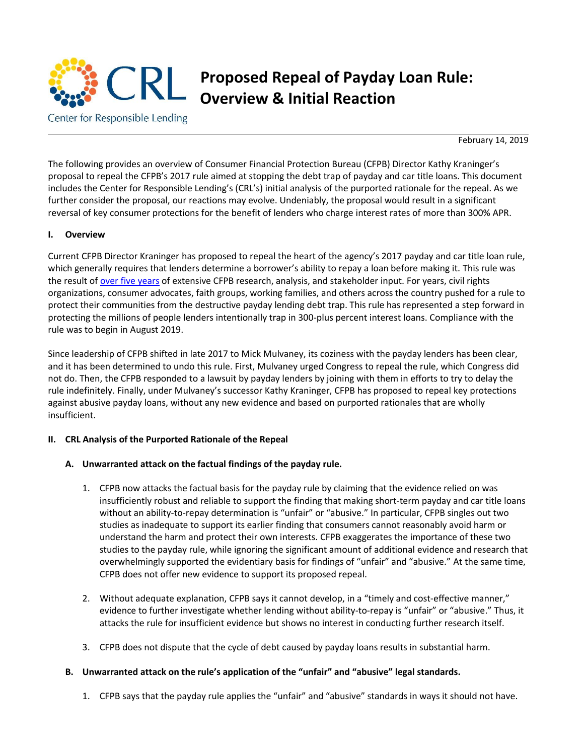

# **Proposed Repeal of Payday Loan Rule: Overview & Initial Reaction**

Center for Responsible Lending

February 14, 2019

The following provides an overview of Consumer Financial Protection Bureau (CFPB) Director Kathy Kraninger's proposal to repeal the CFPB's 2017 rule aimed at stopping the debt trap of payday and car title loans. This document includes the Center for Responsible Lending's (CRL's) initial analysis of the purported rationale for the repeal. As we further consider the proposal, our reactions may evolve. Undeniably, the proposal would result in a significant reversal of key consumer protections for the benefit of lenders who charge interest rates of more than 300% APR.

#### **I. Overview**

Current CFPB Director Kraninger has proposed to repeal the heart of the agency's 2017 payday and car title loan rule, which generally requires that lenders determine a borrower's ability to repay a loan before making it. This rule was the result of [over five years](https://cdn.knightlab.com/libs/timeline3/latest/embed/index.html?source=1BsTT1rwht8T2015Bz_oRyLflqIJEXv5Zov0KNXBs4tQ&font=Default&lang=en&initial_zoom=2&height=650) of extensive CFPB research, analysis, and stakeholder input. For years, civil rights organizations, consumer advocates, faith groups, working families, and others across the country pushed for a rule to protect their communities from the destructive payday lending debt trap. This rule has represented a step forward in protecting the millions of people lenders intentionally trap in 300-plus percent interest loans. Compliance with the rule was to begin in August 2019.

Since leadership of CFPB shifted in late 2017 to Mick Mulvaney, its coziness with the payday lenders has been clear, and it has been determined to undo this rule. First, Mulvaney urged Congress to repeal the rule, which Congress did not do. Then, the CFPB responded to a lawsuit by payday lenders by joining with them in efforts to try to delay the rule indefinitely. Finally, under Mulvaney's successor Kathy Kraninger, CFPB has proposed to repeal key protections against abusive payday loans, without any new evidence and based on purported rationales that are wholly insufficient.

#### **II. CRL Analysis of the Purported Rationale of the Repeal**

#### **A. Unwarranted attack on the factual findings of the payday rule.**

- 1. CFPB now attacks the factual basis for the payday rule by claiming that the evidence relied on was insufficiently robust and reliable to support the finding that making short-term payday and car title loans without an ability-to-repay determination is "unfair" or "abusive." In particular, CFPB singles out two studies as inadequate to support its earlier finding that consumers cannot reasonably avoid harm or understand the harm and protect their own interests. CFPB exaggerates the importance of these two studies to the payday rule, while ignoring the significant amount of additional evidence and research that overwhelmingly supported the evidentiary basis for findings of "unfair" and "abusive." At the same time, CFPB does not offer new evidence to support its proposed repeal.
- 2. Without adequate explanation, CFPB says it cannot develop, in a "timely and cost-effective manner," evidence to further investigate whether lending without ability-to-repay is "unfair" or "abusive." Thus, it attacks the rule for insufficient evidence but shows no interest in conducting further research itself.
- 3. CFPB does not dispute that the cycle of debt caused by payday loans results in substantial harm.

#### **B. Unwarranted attack on the rule's application of the "unfair" and "abusive" legal standards.**

1. CFPB says that the payday rule applies the "unfair" and "abusive" standards in ways it should not have.